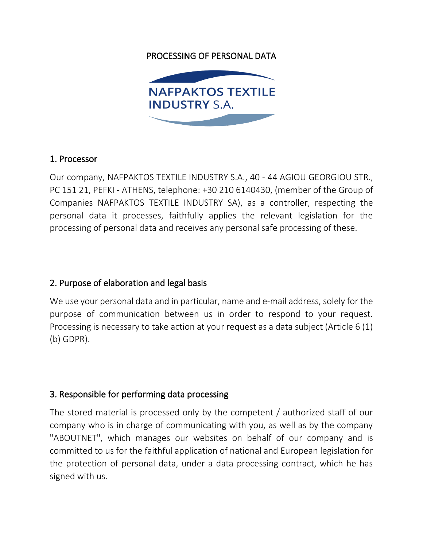## PROCESSING OF PERSONAL DATA



#### 1. Processor

Our company, NAFPAKTOS TEXTILE INDUSTRY S.A., 40 - 44 AGIOU GEORGIOU STR., PC 151 21, PEFKI - ATHENS, telephone: +30 210 6140430, (member of the Group of Companies NAFPAKTOS TEXTILE INDUSTRY SA), as a controller, respecting the personal data it processes, faithfully applies the relevant legislation for the processing of personal data and receives any personal safe processing of these.

### 2. Purpose of elaboration and legal basis

We use your personal data and in particular, name and e-mail address, solely for the purpose of communication between us in order to respond to your request. Processing is necessary to take action at your request as a data subject (Article 6 (1) (b) GDPR).

### 3. Responsible for performing data processing

The stored material is processed only by the competent / authorized staff of our company who is in charge of communicating with you, as well as by the company "ABOUTNET", which manages our websites on behalf of our company and is committed to us for the faithful application of national and European legislation for the protection of personal data, under a data processing contract, which he has signed with us.